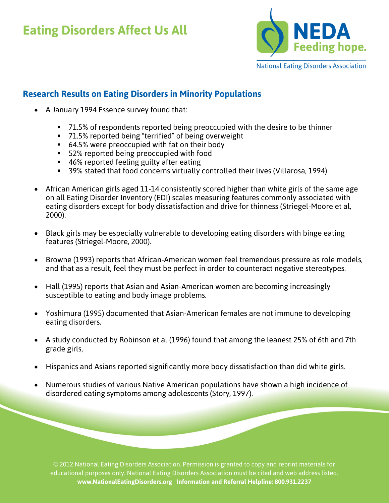## **Eating Disorders Affect Us All**



## **Research Results on Eating Disorders in Minority Populations**

- A January 1994 Essence survey found that:
	- 71.5% of respondents reported being preoccupied with the desire to be thinner
	- 71.5% reported being "terrified" of being overweight
	- 64.5% were preoccupied with fat on their body
	- **52% reported being preoccupied with food**
	- 46% reported feeling guilty after eating
	- 39% stated that food concerns virtually controlled their lives (Villarosa, 1994)
- African American girls aged 11-14 consistently scored higher than white girls of the same age on all Eating Disorder Inventory (EDI) scales measuring features commonly associated with eating disorders except for body dissatisfaction and drive for thinness (Striegel-Moore et al, 2000).
- Black girls may be especially vulnerable to developing eating disorders with binge eating features (Striegel-Moore, 2000).
- Browne (1993) reports that African-American women feel tremendous pressure as role models, and that as a result, feel they must be perfect in order to counteract negative stereotypes.
- Hall (1995) reports that Asian and Asian-American women are becoming increasingly susceptible to eating and body image problems.
- Yoshimura (1995) documented that Asian-American females are not immune to developing eating disorders.
- A study conducted by Robinson et al (1996) found that among the leanest 25% of 6th and 7th grade girls,
- Hispanics and Asians reported significantly more body dissatisfaction than did white girls.
- Numerous studies of various Native American populations have shown a high incidence of disordered eating symptoms among adolescents (Story, 1997).

© 2012 National Eating Disorders Association. Permission is granted to copy and reprint materials for educational purposes only. National Eating Disorders Association must be cited and web address listed. **www.NationalEatingDisorders.org Information and Referral Helpline: 800.931.2237**